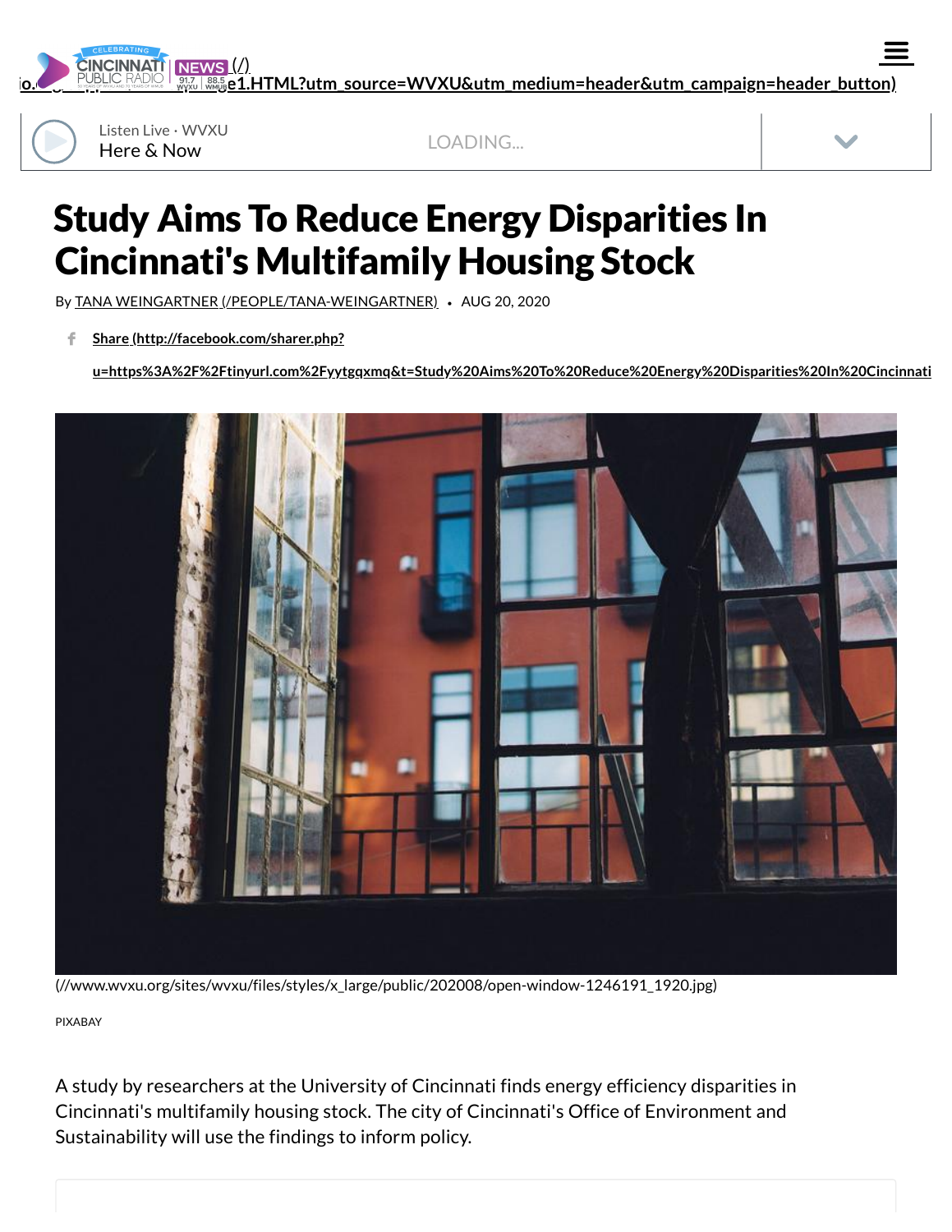**CINCINNATI** 

**[io.org/support/wvxu/pledge1.HTML?utm\\_source=WVXU&utm\\_medium=header&utm\\_campaign=header\\_button\)](https://www.cinradio.org/support/wvxu/pledge1.HTML?utm_source=WVXU&utm_medium=header&utm_campaign=header_button)** (/)



Here & Now Listen Live · WVXU

LOADING...



 $\equiv$ 

## Study Aims To Reduce Energy Disparities In Cincinnati's Multifamily Housing Stock

By TANA WEINGARTNER [\(/PEOPLE/TANA-WEINGARTNER\)](https://www.wvxu.org/people/tana-weingartner) *•* AUG 20, 2020

**Share (http://facebook.com/sharer.php?** f

**[u=https%3A%2F%2Ftinyurl.com%2Fyytgqxmq&t=Study%20Aims%20To%20Reduce%20Energy%20Disparities%20In%20Cincinnati](http://facebook.com/sharer.php?u=https%3A%2F%2Ftinyurl.com%2Fyytgqxmq&t=Study%20Aims%20To%20Reduce%20Energy%20Disparities%20In%20Cincinnati%27s%20Multifamily%20Housing%20Stock)**



[\(//www.wvxu.org/sites/wvxu/files/styles/x\\_large/public/202008/open-window-1246191\\_1920.jpg\)](https://www.wvxu.org/sites/wvxu/files/styles/x_large/public/202008/open-window-1246191_1920.jpg)

PIXABAY

A study by researchers at the University of Cincinnati finds energy efficiency disparities in Cincinnati's multifamily housing stock. The city of Cincinnati's Office of Environment and Sustainability will use the findings to inform policy.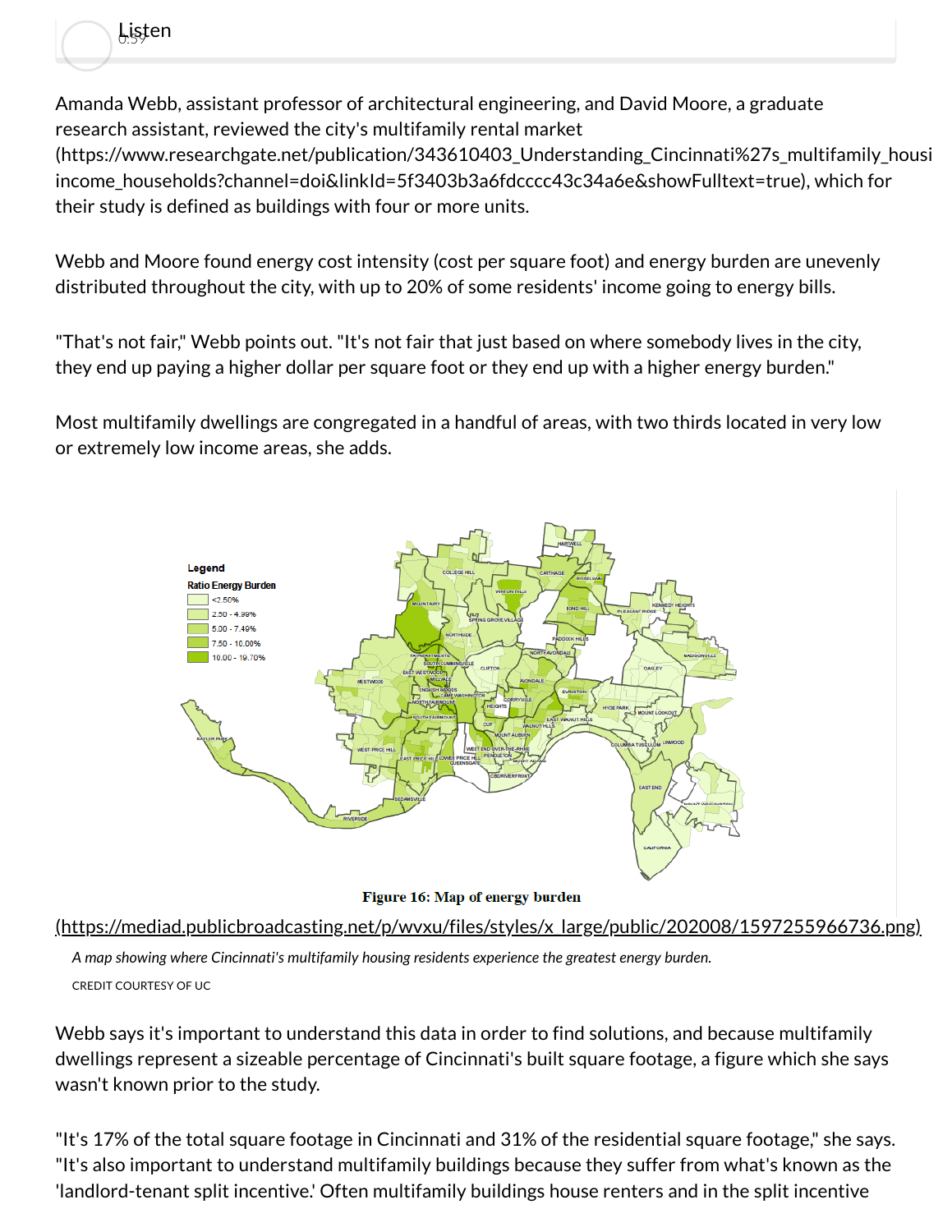Amanda Webb, assistant professor of architectural engineering, and David Moore, a graduate research assistant, reviewed the city's multifamily rental market (https://www.researchgate.net/publication/343610403 Understanding Cincinnati%27s multifamily housi income\_households?channel=doi&linkId=5f3403b3a6fdcccc43c34a6e&showFulltext=true), which for their study is defined as buildings with four or more units.

0:59 Listen

Webb and Moore found energy cost intensity (cost per square foot) and energy burden are unevenly distributed throughout the city, with up to 20% of some residents' income going to energy bills.

"That's not fair," Webb points out. "It's not fair that just based on where somebody lives in the city, they end up paying a higher dollar per square foot or they end up with a higher energy burden."

Most multifamily dwellings are congregated in a handful of areas, with two thirds located in very low or extremely low income areas, she adds.



[\(https://mediad.publicbroadcasting.net/p/wvxu/files/styles/x\\_large/public/202008/1597255966736.png\)](https://mediad.publicbroadcasting.net/p/wvxu/files/styles/x_large/public/202008/1597255966736.png)

*A map showing where Cincinnati's multifamily housing residents experience the greatest energy burden.* CREDIT COURTESY OF UC

Webb says it's important to understand this data in order to find solutions, and because multifamily dwellings represent a sizeable percentage of Cincinnati's built square footage, a figure which she says wasn't known prior to the study.

"It's 17% of the total square footage in Cincinnati and 31% of the residential square footage," she says. "It's also important to understand multifamily buildings because they suffer from what's known as the 'landlord-tenant split incentive.' Often multifamily buildings house renters and in the split incentive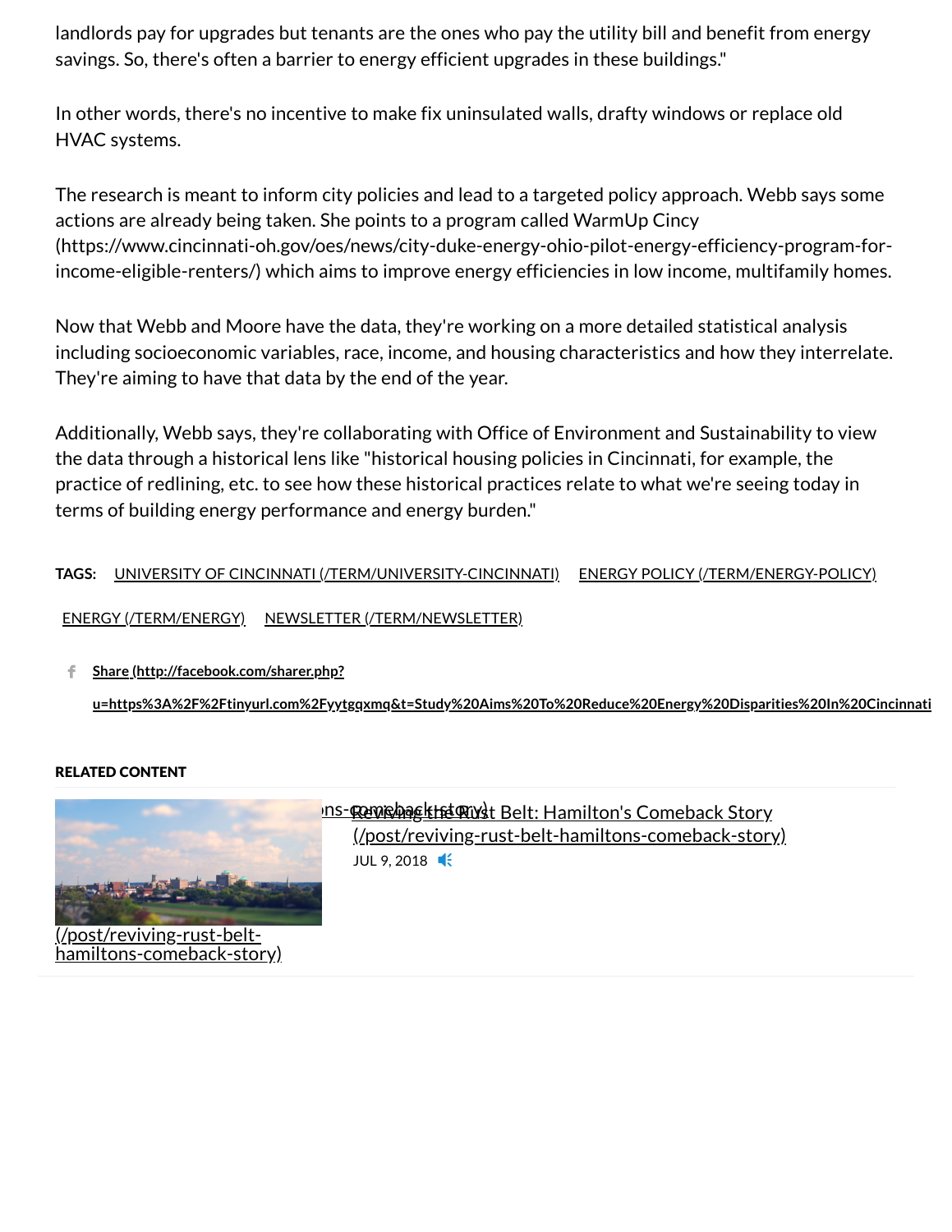landlords pay for upgrades but tenants are the ones who pay the utility bill and benefit from energy savings. So, there's often a barrier to energy efficient upgrades in these buildings."

In other words, there's no incentive to make fix uninsulated walls, drafty windows or replace old HVAC systems.

The research is meant to inform city policies and lead to a targeted policy approach. Webb says some actions are already being taken. She points to a program called WarmUp Cincy [\(https://www.cincinnati-oh.gov/oes/news/city-duke-energy-ohio-pilot-energy-efficiency-program-for](https://www.cincinnati-oh.gov/oes/news/city-duke-energy-ohio-pilot-energy-efficiency-program-for-income-eligible-renters/)income-eligible-renters/) which aims to improve energy efficiencies in low income, multifamily homes.

Now that Webb and Moore have the data, they're working on a more detailed statistical analysis including socioeconomic variables, race, income, and housing characteristics and how they interrelate. They're aiming to have that data by the end of the year.

Additionally, Webb says, they're collaborating with Office of Environment and Sustainability to view the data through a historical lens like "historical housing policies in Cincinnati, for example, the practice of redlining, etc. to see how these historical practices relate to what we're seeing today in terms of building energy performance and energy burden."

## **TAGS:** UNIVERSITY OF CINCINNATI [\(/TERM/UNIVERSITY-CINCINNATI\)](https://www.wvxu.org/term/university-cincinnati) ENERGY POLICY [\(/TERM/ENERGY-POLICY\)](https://www.wvxu.org/term/energy-policy)

ENERGY [\(/TERM/ENERGY\)](https://www.wvxu.org/term/energy) NEWSLETTER [\(/TERM/NEWSLETTER\)](https://www.wvxu.org/term/newsletter)

**Share (http://facebook.com/sharer.php?** f.

**[u=https%3A%2F%2Ftinyurl.com%2Fyytgqxmq&t=Study%20Aims%20To%20Reduce%20Energy%20Disparities%20In%20Cincinnati](http://facebook.com/sharer.php?u=https%3A%2F%2Ftinyurl.com%2Fyytgqxmq&t=Study%20Aims%20To%20Reduce%20Energy%20Disparities%20In%20Cincinnati%27s%20Multifamily%20Housing%20Stock)**

## RELATED CONTENT



iltons-comeback-story)

## <u>Reviving the Rust Belt: Hamilton's Comeback Story (Manusche Belt-hamiltons-comeback-story) (Manusche Belt-hamiltons-comeback-story) (Manusche Belt-hamiltons-comeback-story) (Manusche Belt-hamiltons-comeback-story) (Manusc</u> [\(/post/reviving-rust-belt-hamiltons-comeback-story\)](https://www.wvxu.org/post/reviving-rust-belt-hamiltons-comeback-story) JUL 9, 2018 **4**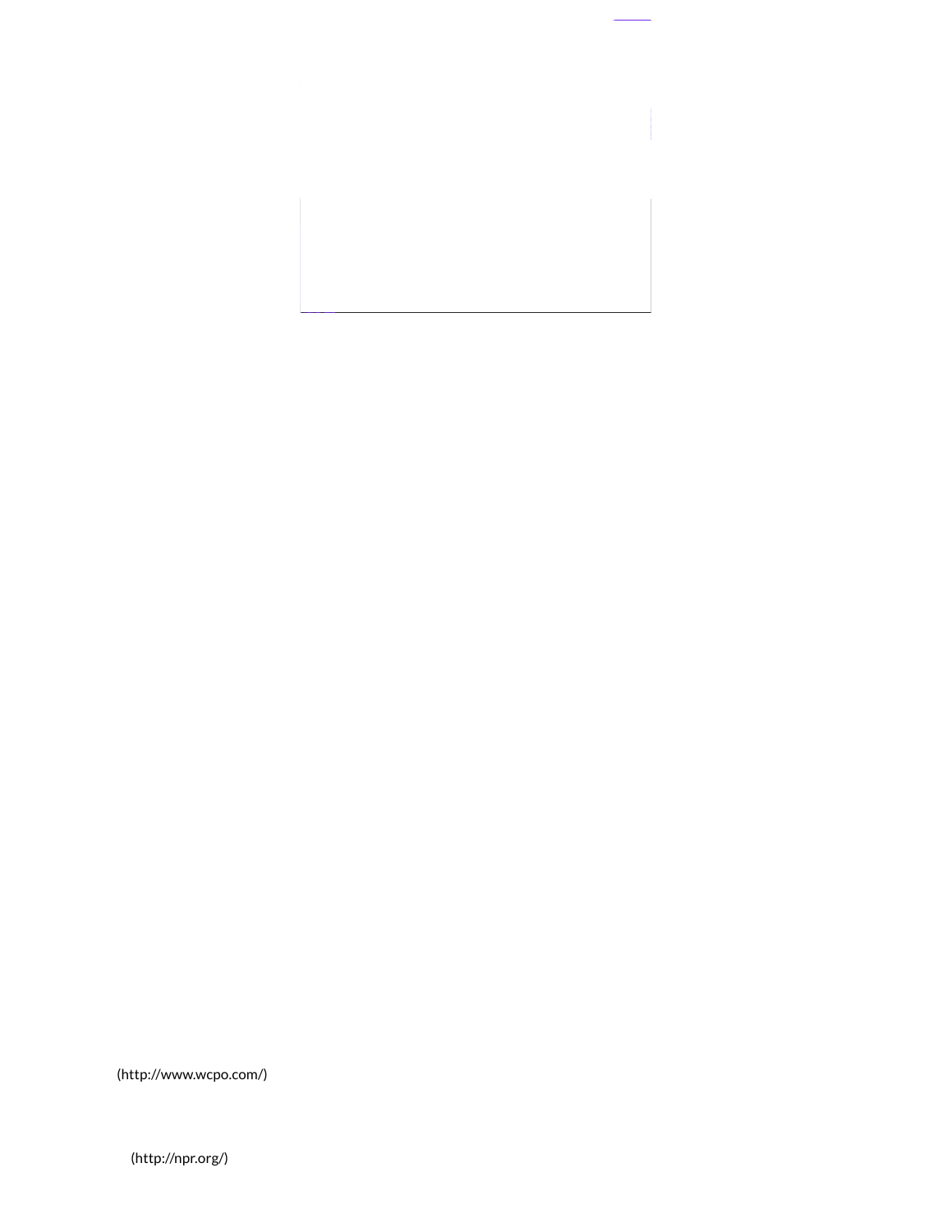[\(http://www.wcpo.com/\)](http://www.wcpo.com/)